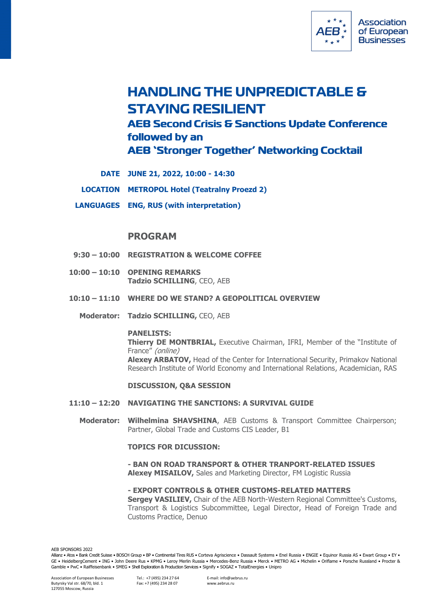

# **HANDLING THE UNPREDICTABLE & STAYING RESILIENT AEB Second Crisis & Sanctions Update Conference** followed by an **AEB 'Stronger Together' Networking Cocktail**

- **DATE JUNE 21, 2022, 10:00 - 14:30**
- **LOCATION METROPOL Hotel (Teatralny Proezd 2)**
- **LANGUAGES ENG, RUS (with interpretation)**

# **PROGRAM**

- **9:30 – 10:00 REGISTRATION & WELCOME COFFEE**
- **10:00 – 10:10 OPENING REMARKS Tadzio SCHILLING**, CEO, AEB
- **10:10 – 11:10 WHERE DO WE STAND? A GEOPOLITICAL OVERVIEW**
	- **Moderator: Tadzio SCHILLING,** CEO, AEB

#### **PANELISTS:**

**Thierry DE MONTBRIAL,** Executive Chairman, IFRI, Member of the "Institute of France" (online) **Alexey ARBATOV,** Нead of the Center for International Security, Primakov National Research Institute of World Economy and International Relations, Academician, RAS

### **DISCUSSION, Q&A SESSION**

- **11:10 – 12:20 NAVIGATING THE SANCTIONS: A SURVIVAL GUIDE**
	- **Moderator: Wilhelmina SHAVSHINA**, AEB Customs & Transport Committee Chairperson; Partner, Global Trade and Customs CIS Leader, B1

### **TOPICS FOR DICUSSION:**

**- BAN ON ROAD TRANSPORT & OTHER TRANPORT-RELATED ISSUES Alexey MISAILOV,** Sales and Marketing Director, FM Logistic Russia

**- EXPORT CONTROLS & OTHER CUSTOMS-RELATED MATTERS Sergey VASILIEV,** Chair of the AEB North-Western Regional Committee's Customs, Transport & Logistics Subcommittee, Legal Director, Head of Foreign Trade and Customs Practice, Denuo

AEB SPONSORS 2022

Allianz • Atos • Bank Credit Suisse • BOSCH Group • BP • Continental Tires RUS • Corteva Agriscience • Dassault Systems • Enel Russia • ENGIE • Equinor Russia AS • Ewart Group • EY • GE • HeidelbergCement • ING • John Deere Rus • KPMG • Leroy Merlin Russia • Mercedes-Benz Russia • Merck • METRO AG • Michelin • Oriflame • Porsche Russland • Procter & Gamble • PwC • Raiffeisenbank • SMEG • Shell Exploration & Production Services • Signify • SOGAZ • TotalEnergies • Unipro